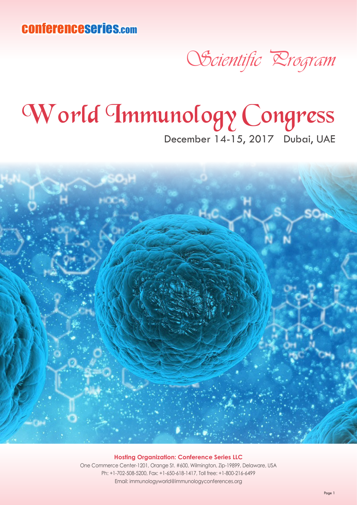conferenceseries.com

## Scientific Program

## World Immunology Congress

December 14-15, 2017 Dubai, UAE



## **Hosting Organization: Conference Series LLC**

One Commerce Center-1201, Orange St. #600, Wilmington, Zip-19899, Delaware, USA Ph: +1-702-508-5200, Fax: +1-650-618-1417, Toll free: +1-800-216-6499 Email: immunologyworld@immunologyconferences.org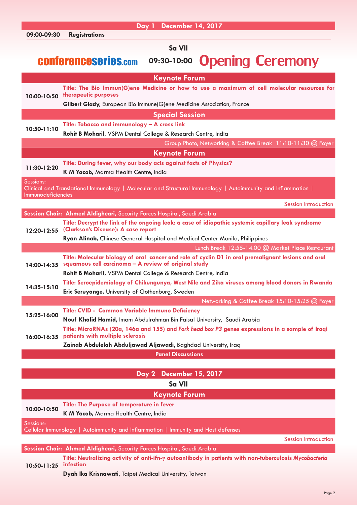|                                                                       | Day 1 December 14, 2017                                                                                                              |  |
|-----------------------------------------------------------------------|--------------------------------------------------------------------------------------------------------------------------------------|--|
| 09:00-09:30                                                           | <b>Registrations</b>                                                                                                                 |  |
| Sa VII                                                                |                                                                                                                                      |  |
|                                                                       |                                                                                                                                      |  |
| <b>Opening Ceremony</b><br><b>CONferenceseries.com</b><br>09:30-10:00 |                                                                                                                                      |  |
|                                                                       |                                                                                                                                      |  |
|                                                                       | <b>Keynote Forum</b>                                                                                                                 |  |
| 10:00-10:50                                                           | Title: The Bio Immun(G)ene Medicine or how to use a maximum of cell molecular resources for                                          |  |
|                                                                       | <b>therapeutic purposes</b>                                                                                                          |  |
|                                                                       | Gilbert Glady, European Bio Immune(G)ene Medicine Association, France                                                                |  |
|                                                                       | <b>Special Session</b>                                                                                                               |  |
| 10:50-11:10                                                           | Title: Tobacco and immunology - A cross link                                                                                         |  |
|                                                                       | Rohit B Moharil, VSPM Dental College & Research Centre, India                                                                        |  |
|                                                                       | Group Photo, Networking & Coffee Break 11:10-11:30 @ Foyer                                                                           |  |
|                                                                       | <b>Keynote Forum</b>                                                                                                                 |  |
|                                                                       | Title: During fever, why our body acts against facts of Physics?                                                                     |  |
| 11:30-12:20                                                           | K M Yacob, Marma Health Centre, India                                                                                                |  |
| Sessions:                                                             |                                                                                                                                      |  |
|                                                                       | Clinical and Translational Immunology   Molecular and Structural Immunology   Autoimmunity and Inflammation                          |  |
| Immunodeficiencies                                                    |                                                                                                                                      |  |
|                                                                       | <b>Session Introduction</b>                                                                                                          |  |
|                                                                       | Session Chair: Ahmed Aldigheari, Security Forces Hospital, Saudi Arabia                                                              |  |
|                                                                       | Title: Decrypt the link of the ongoing leak: a case of idiopathic systemic capillary leak syndrome                                   |  |
| 12:20-12:55                                                           | (Clarkson's Disease): A case report                                                                                                  |  |
|                                                                       | Ryan Alinab, Chinese General Hospital and Medical Center Manila, Philippines                                                         |  |
| Lunch Break 12:55-14:00 @ Market Place Restaurant                     |                                                                                                                                      |  |
|                                                                       | Title: Molecular biology of oral cancer and role of cyclin D1 in oral premalignant lesions and oral                                  |  |
| 14:00-14:35                                                           | squamous cell carcinoma - A review of original study                                                                                 |  |
| 14:35-15:10                                                           | Rohit B Moharil, VSPM Dental College & Research Centre, India                                                                        |  |
|                                                                       | Title: Seroepidemiology of Chikungunya, West Nile and Zika viruses among blood donors in Rwanda                                      |  |
|                                                                       | <b>Eric Seruyange, University of Gothenburg, Sweden</b>                                                                              |  |
| Networking & Coffee Break 15:10-15:25 @ Foyer                         |                                                                                                                                      |  |
| 15:25-16:00                                                           | Title: CVID - Common Variable Immuno Deficiency                                                                                      |  |
|                                                                       | Nouf Khalid Hamid, Imam Abdulrahman Bin Faisal University, Saudi Arabia                                                              |  |
| 16:00-16:35                                                           | Title: MicroRNAs (20a, 146a and 155) and Fork head box P3 genes expressions in a sample of Iraqi<br>patients with multiple sclerosis |  |
|                                                                       | Zainab Abdulelah Abduljawad Aljawadi, Baghdad University, Iraq                                                                       |  |
|                                                                       |                                                                                                                                      |  |
|                                                                       | <b>Panel Discussions</b>                                                                                                             |  |
|                                                                       |                                                                                                                                      |  |
|                                                                       | <b>December 15, 2017</b><br>Day 2                                                                                                    |  |
|                                                                       | Sa VII                                                                                                                               |  |
|                                                                       | <b>Keynote Forum</b>                                                                                                                 |  |
| 10:00-10:50                                                           | <b>Title: The Purpose of temperature in fever</b>                                                                                    |  |
|                                                                       | K M Yacob, Marma Health Centre, India                                                                                                |  |
| Sessions:                                                             |                                                                                                                                      |  |
|                                                                       | Cellular Immunology   Autoimmunity and Inflammation   Immunity and Host defenses                                                     |  |
|                                                                       | <b>Session Introduction</b>                                                                                                          |  |
|                                                                       | Session Chair: Ahmed Aldigheari, Security Forces Hospital, Saudi Arabia                                                              |  |
|                                                                       | Title: Neutralizing activity of anti-ifn-y autoantibody in patients with non-tuberculosis Mycobacteria                               |  |
| 10:50-11:25                                                           | infection                                                                                                                            |  |

**Dyah Ika Krisnawati,** Taipei Medical University, Taiwan